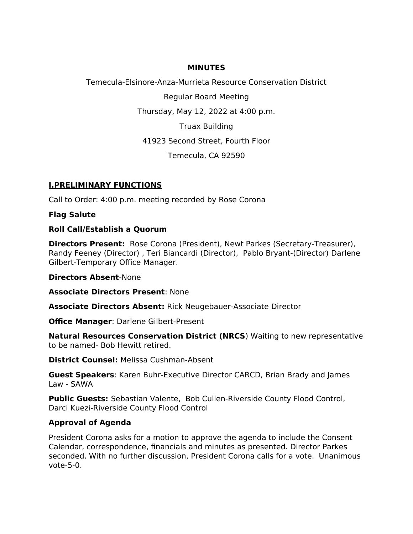#### **MINUTES**

Temecula-Elsinore-Anza-Murrieta Resource Conservation District

Regular Board Meeting

Thursday, May 12, 2022 at 4:00 p.m.

Truax Building

41923 Second Street, Fourth Floor

Temecula, CA 92590

## **I.PRELIMINARY FUNCTIONS**

Call to Order: 4:00 p.m. meeting recorded by Rose Corona

**Flag Salute**

### **Roll Call/Establish a Quorum**

**Directors Present:** Rose Corona (President), Newt Parkes (Secretary-Treasurer), Randy Feeney (Director) , Teri Biancardi (Director), Pablo Bryant-(Director) Darlene Gilbert-Temporary Office Manager.

### **Directors Absent**-None

**Associate Directors Present**: None

**Associate Directors Absent:** Rick Neugebauer-Associate Director

**Office Manager**: Darlene Gilbert-Present

**Natural Resources Conservation District (NRCS**) Waiting to new representative to be named- Bob Hewitt retired.

**District Counsel:** Melissa Cushman-Absent

**Guest Speakers**: Karen Buhr-Executive Director CARCD, Brian Brady and James Law - SAWA

**Public Guests:** Sebastian Valente, Bob Cullen-Riverside County Flood Control, Darci Kuezi-Riverside County Flood Control

# **Approval of Agenda**

President Corona asks for a motion to approve the agenda to include the Consent Calendar, correspondence, financials and minutes as presented. Director Parkes seconded. With no further discussion, President Corona calls for a vote. Unanimous vote-5-0.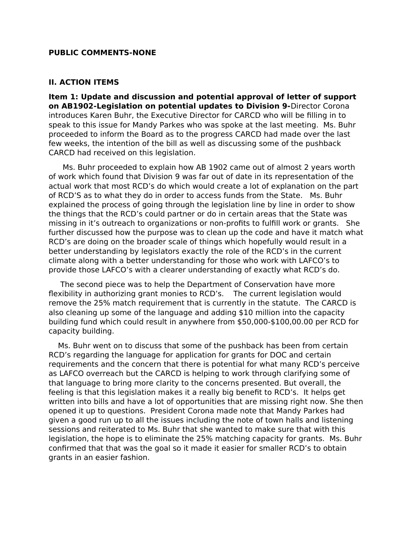#### **PUBLIC COMMENTS-NONE**

#### **II. ACTION ITEMS**

**Item 1: Update and discussion and potential approval of letter of support on AB1902-Legislation on potential updates to Division 9-**Director Corona introduces Karen Buhr, the Executive Director for CARCD who will be filling in to speak to this issue for Mandy Parkes who was spoke at the last meeting. Ms. Buhr proceeded to inform the Board as to the progress CARCD had made over the last few weeks, the intention of the bill as well as discussing some of the pushback CARCD had received on this legislation.

 Ms. Buhr proceeded to explain how AB 1902 came out of almost 2 years worth of work which found that Division 9 was far out of date in its representation of the actual work that most RCD's do which would create a lot of explanation on the part of RCD'S as to what they do in order to access funds from the State. Ms. Buhr explained the process of going through the legislation line by line in order to show the things that the RCD's could partner or do in certain areas that the State was missing in it's outreach to organizations or non-profits to fulfill work or grants. She further discussed how the purpose was to clean up the code and have it match what RCD's are doing on the broader scale of things which hopefully would result in a better understanding by legislators exactly the role of the RCD's in the current climate along with a better understanding for those who work with LAFCO's to provide those LAFCO's with a clearer understanding of exactly what RCD's do.

 The second piece was to help the Department of Conservation have more flexibility in authorizing grant monies to RCD's. The current legislation would remove the 25% match requirement that is currently in the statute. The CARCD is also cleaning up some of the language and adding \$10 million into the capacity building fund which could result in anywhere from \$50,000-\$100,00.00 per RCD for capacity building.

 Ms. Buhr went on to discuss that some of the pushback has been from certain RCD's regarding the language for application for grants for DOC and certain requirements and the concern that there is potential for what many RCD's perceive as LAFCO overreach but the CARCD is helping to work through clarifying some of that language to bring more clarity to the concerns presented. But overall, the feeling is that this legislation makes it a really big benefit to RCD's. It helps get written into bills and have a lot of opportunities that are missing right now. She then opened it up to questions. President Corona made note that Mandy Parkes had given a good run up to all the issues including the note of town halls and listening sessions and reiterated to Ms. Buhr that she wanted to make sure that with this legislation, the hope is to eliminate the 25% matching capacity for grants. Ms. Buhr confirmed that that was the goal so it made it easier for smaller RCD's to obtain grants in an easier fashion.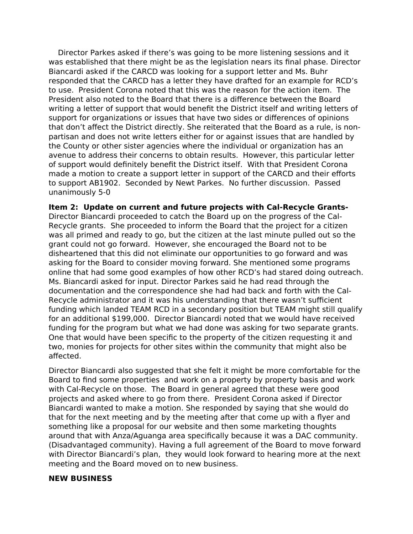Director Parkes asked if there's was going to be more listening sessions and it was established that there might be as the legislation nears its final phase. Director Biancardi asked if the CARCD was looking for a support letter and Ms. Buhr responded that the CARCD has a letter they have drafted for an example for RCD's to use. President Corona noted that this was the reason for the action item. The President also noted to the Board that there is a difference between the Board writing a letter of support that would benefit the District itself and writing letters of support for organizations or issues that have two sides or differences of opinions that don't affect the District directly. She reiterated that the Board as a rule, is nonpartisan and does not write letters either for or against issues that are handled by the County or other sister agencies where the individual or organization has an avenue to address their concerns to obtain results. However, this particular letter of support would definitely benefit the District itself. With that President Corona made a motion to create a support letter in support of the CARCD and their efforts to support AB1902. Seconded by Newt Parkes. No further discussion. Passed unanimously 5-0

**Item 2: Update on current and future projects with Cal-Recycle Grants-**Director Biancardi proceeded to catch the Board up on the progress of the Cal-Recycle grants. She proceeded to inform the Board that the project for a citizen was all primed and ready to go, but the citizen at the last minute pulled out so the grant could not go forward. However, she encouraged the Board not to be disheartened that this did not eliminate our opportunities to go forward and was asking for the Board to consider moving forward. She mentioned some programs online that had some good examples of how other RCD's had stared doing outreach. Ms. Biancardi asked for input. Director Parkes said he had read through the documentation and the correspondence she had had back and forth with the Cal-Recycle administrator and it was his understanding that there wasn't sufficient funding which landed TEAM RCD in a secondary position but TEAM might still qualify for an additional \$199,000. Director Biancardi noted that we would have received funding for the program but what we had done was asking for two separate grants. One that would have been specific to the property of the citizen requesting it and two, monies for projects for other sites within the community that might also be affected.

Director Biancardi also suggested that she felt it might be more comfortable for the Board to find some properties and work on a property by property basis and work with Cal-Recycle on those. The Board in general agreed that these were good projects and asked where to go from there. President Corona asked if Director Biancardi wanted to make a motion. She responded by saying that she would do that for the next meeting and by the meeting after that come up with a flyer and something like a proposal for our website and then some marketing thoughts around that with Anza/Aguanga area specifically because it was a DAC community. (Disadvantaged community). Having a full agreement of the Board to move forward with Director Biancardi's plan, they would look forward to hearing more at the next meeting and the Board moved on to new business.

#### **NEW BUSINESS**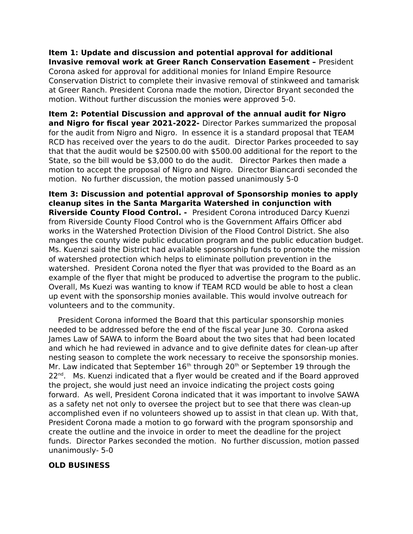#### **Item 1: Update and discussion and potential approval for additional Invasive removal work at Greer Ranch Conservation Easement –** President

Corona asked for approval for additional monies for Inland Empire Resource Conservation District to complete their invasive removal of stinkweed and tamarisk at Greer Ranch. President Corona made the motion, Director Bryant seconded the motion. Without further discussion the monies were approved 5-0.

**Item 2: Potential Discussion and approval of the annual audit for Nigro and Nigro for fiscal year 2021-2022-** Director Parkes summarized the proposal for the audit from Nigro and Nigro. In essence it is a standard proposal that TEAM RCD has received over the years to do the audit. Director Parkes proceeded to say that that the audit would be \$2500.00 with \$500.00 additional for the report to the State, so the bill would be \$3,000 to do the audit. Director Parkes then made a motion to accept the proposal of Nigro and Nigro. Director Biancardi seconded the motion. No further discussion, the motion passed unanimously 5-0

**Item 3: Discussion and potential approval of Sponsorship monies to apply cleanup sites in the Santa Margarita Watershed in conjunction with Riverside County Flood Control. -** President Corona introduced Darcy Kuenzi from Riverside County Flood Control who is the Government Affairs Officer abd works in the Watershed Protection Division of the Flood Control District. She also manges the county wide public education program and the public education budget. Ms. Kuenzi said the District had available sponsorship funds to promote the mission of watershed protection which helps to eliminate pollution prevention in the watershed. President Corona noted the flyer that was provided to the Board as an example of the flyer that might be produced to advertise the program to the public. Overall, Ms Kuezi was wanting to know if TEAM RCD would be able to host a clean up event with the sponsorship monies available. This would involve outreach for volunteers and to the community.

 President Corona informed the Board that this particular sponsorship monies needed to be addressed before the end of the fiscal year June 30. Corona asked James Law of SAWA to inform the Board about the two sites that had been located and which he had reviewed in advance and to give definite dates for clean-up after nesting season to complete the work necessary to receive the sponsorship monies. Mr. Law indicated that September  $16<sup>th</sup>$  through 20<sup>th</sup> or September 19 through the  $22<sup>nd</sup>$ . Ms. Kuenzi indicated that a flyer would be created and if the Board approved the project, she would just need an invoice indicating the project costs going forward. As well, President Corona indicated that it was important to involve SAWA as a safety net not only to oversee the project but to see that there was clean-up accomplished even if no volunteers showed up to assist in that clean up. With that, President Corona made a motion to go forward with the program sponsorship and create the outline and the invoice in order to meet the deadline for the project funds. Director Parkes seconded the motion. No further discussion, motion passed unanimously- 5-0

## **OLD BUSINESS**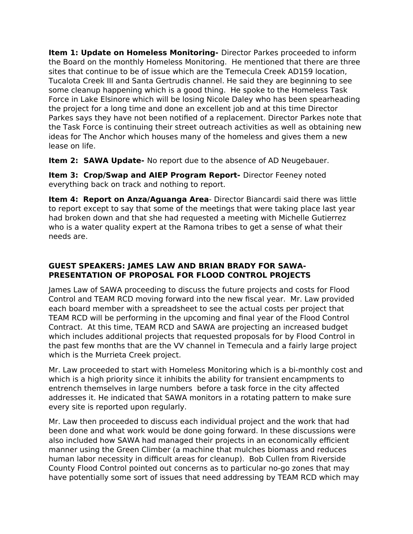**Item 1: Update on Homeless Monitoring-** Director Parkes proceeded to inform the Board on the monthly Homeless Monitoring. He mentioned that there are three sites that continue to be of issue which are the Temecula Creek AD159 location, Tucalota Creek III and Santa Gertrudis channel. He said they are beginning to see some cleanup happening which is a good thing. He spoke to the Homeless Task Force in Lake Elsinore which will be losing Nicole Daley who has been spearheading the project for a long time and done an excellent job and at this time Director Parkes says they have not been notified of a replacement. Director Parkes note that the Task Force is continuing their street outreach activities as well as obtaining new ideas for The Anchor which houses many of the homeless and gives them a new lease on life.

**Item 2: SAWA Update-** No report due to the absence of AD Neugebauer.

**Item 3: Crop/Swap and AIEP Program Report-** Director Feeney noted everything back on track and nothing to report.

**Item 4: Report on Anza/Aguanga Area**- Director Biancardi said there was little to report except to say that some of the meetings that were taking place last year had broken down and that she had requested a meeting with Michelle Gutierrez who is a water quality expert at the Ramona tribes to get a sense of what their needs are.

### **GUEST SPEAKERS: JAMES LAW AND BRIAN BRADY FOR SAWA-PRESENTATION OF PROPOSAL FOR FLOOD CONTROL PROJECTS**

James Law of SAWA proceeding to discuss the future projects and costs for Flood Control and TEAM RCD moving forward into the new fiscal year. Mr. Law provided each board member with a spreadsheet to see the actual costs per project that TEAM RCD will be performing in the upcoming and final year of the Flood Control Contract. At this time, TEAM RCD and SAWA are projecting an increased budget which includes additional projects that requested proposals for by Flood Control in the past few months that are the VV channel in Temecula and a fairly large project which is the Murrieta Creek project.

Mr. Law proceeded to start with Homeless Monitoring which is a bi-monthly cost and which is a high priority since it inhibits the ability for transient encampments to entrench themselves in large numbers before a task force in the city affected addresses it. He indicated that SAWA monitors in a rotating pattern to make sure every site is reported upon regularly.

Mr. Law then proceeded to discuss each individual project and the work that had been done and what work would be done going forward. In these discussions were also included how SAWA had managed their projects in an economically efficient manner using the Green Climber (a machine that mulches biomass and reduces human labor necessity in difficult areas for cleanup). Bob Cullen from Riverside County Flood Control pointed out concerns as to particular no-go zones that may have potentially some sort of issues that need addressing by TEAM RCD which may